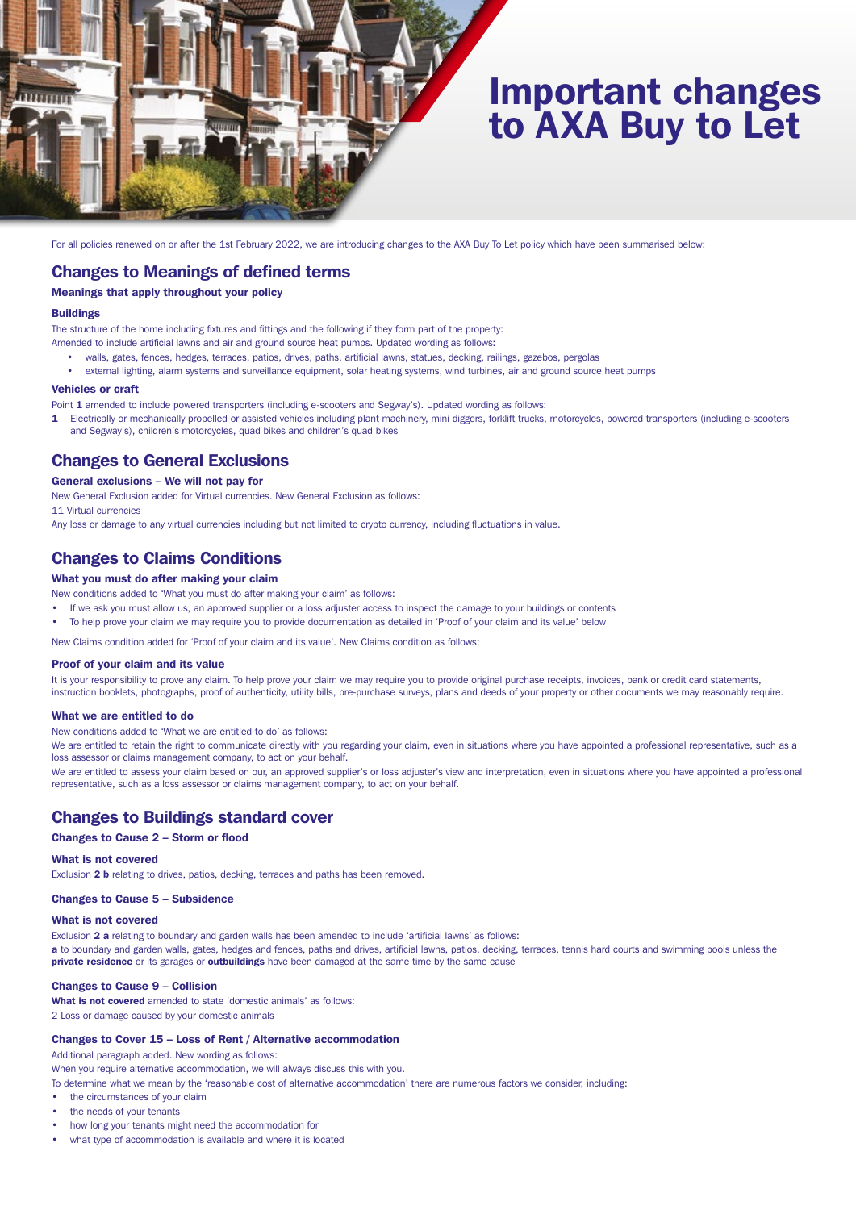

# Important changes to AXA Buy to Let

For all policies renewed on or after the 1st February 2022, we are introducing changes to the AXA Buy To Let policy which have been summarised below:

# Changes to Meanings of defined terms

# Meanings that apply throughout your policy

## **Buildings**

The structure of the home including fixtures and fittings and the following if they form part of the property:

- Amended to include artificial lawns and air and ground source heat pumps. Updated wording as follows:
	- walls, gates, fences, hedges, terraces, patios, drives, paths, artificial lawns, statues, decking, railings, gazebos, pergolas
	- external lighting, alarm systems and surveillance equipment, solar heating systems, wind turbines, air and ground source heat pumps

## Vehicles or craft

Point 1 amended to include powered transporters (including e-scooters and Segway's). Updated wording as follows:

1 Electrically or mechanically propelled or assisted vehicles including plant machinery, mini diggers, forklift trucks, motorcycles, powered transporters (including e-scooters and Segway's), children's motorcycles, quad bikes and children's quad bikes

# Changes to General Exclusions

## General exclusions – We will not pay for

New General Exclusion added for Virtual currencies. New General Exclusion as follows:

11 Virtual currencies

Any loss or damage to any virtual currencies including but not limited to crypto currency, including fluctuations in value.

# Changes to Claims Conditions

# What you must do after making your claim

New conditions added to 'What you must do after making your claim' as follows:

- If we ask you must allow us, an approved supplier or a loss adjuster access to inspect the damage to your buildings or contents
- To help prove your claim we may require you to provide documentation as detailed in 'Proof of your claim and its value' below

New Claims condition added for 'Proof of your claim and its value'. New Claims condition as follows:

### Proof of your claim and its value

It is your responsibility to prove any claim. To help prove your claim we may require you to provide original purchase receipts, invoices, bank or credit card statements, instruction booklets, photographs, proof of authenticity, utility bills, pre-purchase surveys, plans and deeds of your property or other documents we may reasonably require.

## What we are entitled to do

New conditions added to 'What we are entitled to do' as follows:

We are entitled to retain the right to communicate directly with you regarding your claim, even in situations where you have appointed a professional representative, such as a loss assessor or claims management company, to act on your behalf.

We are entitled to assess your claim based on our, an approved supplier's or loss adjuster's view and interpretation, even in situations where you have appointed a professional representative, such as a loss assessor or claims management company, to act on your behalf.

# Changes to Buildings standard cover

## Changes to Cause 2 – Storm or flood

#### What is not covered

Exclusion 2 b relating to drives, patios, decking, terraces and paths has been removed.

## Changes to Cause 5 – Subsidence

## What is not covered

Exclusion 2 a relating to boundary and garden walls has been amended to include 'artificial lawns' as follows:

a to boundary and garden walls, gates, hedges and fences, paths and drives, artificial lawns, patios, decking, terraces, tennis hard courts and swimming pools unless the private residence or its garages or outbuildings have been damaged at the same time by the same cause

## Changes to Cause 9 – Collision

What is not covered amended to state 'domestic animals' as follows:

2 Loss or damage caused by your domestic animals

## Changes to Cover 15 – Loss of Rent / Alternative accommodation

Additional paragraph added. New wording as follows:

When you require alternative accommodation, we will always discuss this with you.

- To determine what we mean by the 'reasonable cost of alternative accommodation' there are numerous factors we consider, including:
- the circumstances of your claim
- the needs of your tenants
- how long your tenants might need the accommodation for
- what type of accommodation is available and where it is located